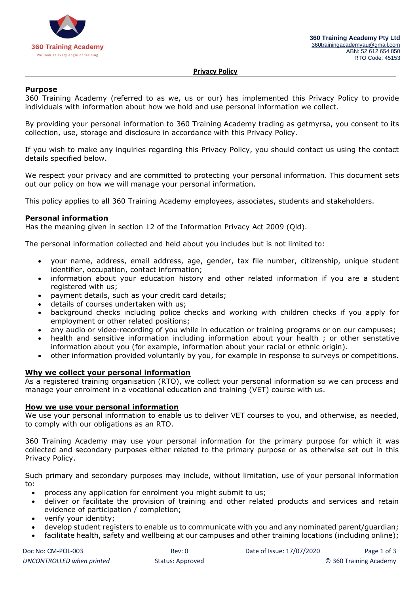

#### **Privacy Policy**

#### **Purpose**

360 Training Academy (referred to as we, us or our) has implemented this Privacy Policy to provide individuals with information about how we hold and use personal information we collect.

By providing your personal information to 360 Training Academy trading as getmyrsa, you consent to its collection, use, storage and disclosure in accordance with this Privacy Policy.

If you wish to make any inquiries regarding this Privacy Policy, you should contact us using the contact details specified below.

We respect your privacy and are committed to protecting your personal information. This document sets out our policy on how we will manage your personal information.

This policy applies to all 360 Training Academy employees, associates, students and stakeholders.

#### **Personal information**

Has the meaning given in section 12 of the Information Privacy Act 2009 (Qld).

The personal information collected and held about you includes but is not limited to:

- your name, address, email address, age, gender, tax file number, citizenship, unique student identifier, occupation, contact information;
- information about your education history and other related information if you are a student registered with us;
- payment details, such as your credit card details;
- details of courses undertaken with us;
- background checks including police checks and working with children checks if you apply for employment or other related positions;
- any audio or video-recording of you while in education or training programs or on our campuses;
- health and sensitive information including information about your health ; or other senstative information about you (for example, information about your racial or ethnic origin).
- other information provided voluntarily by you, for example in response to surveys or competitions.

#### **Why we collect your personal information**

As a registered training organisation (RTO), we collect your personal information so we can process and manage your enrolment in a vocational education and training (VET) course with us.

#### **How we use your personal information**

We use your personal information to enable us to deliver VET courses to you, and otherwise, as needed, to comply with our obligations as an RTO.

360 Training Academy may use your personal information for the primary purpose for which it was collected and secondary purposes either related to the primary purpose or as otherwise set out in this Privacy Policy.

Such primary and secondary purposes may include, without limitation, use of your personal information to:

- process any application for enrolment you might submit to us;
- deliver or facilitate the provision of training and other related products and services and retain evidence of participation / completion;
- verify your identity;
- develop student registers to enable us to communicate with you and any nominated parent/guardian;
- facilitate health, safety and wellbeing at our campuses and other training locations (including online);

| Doc No: CM-POL-003        |  |
|---------------------------|--|
| UNCONTROLLED when printed |  |

Rev: 0 Date of Issue: 17/07/2020 Page 1 of 3 *UNCONTROLLED when printed* Status: Approved © 360 Training Academy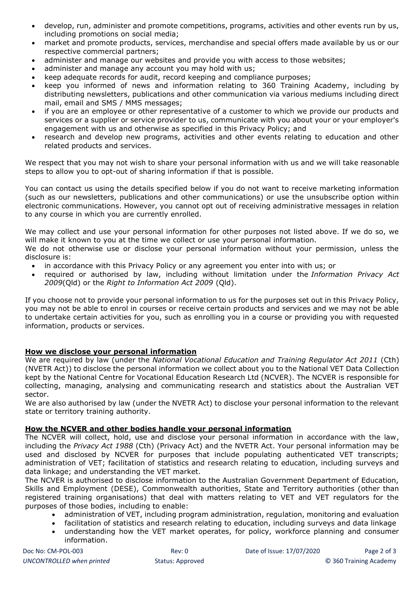- develop, run, administer and promote competitions, programs, activities and other events run by us, including promotions on social media;
- market and promote products, services, merchandise and special offers made available by us or our respective commercial partners;
- administer and manage our websites and provide you with access to those websites;
- administer and manage any account you may hold with us;
- keep adequate records for audit, record keeping and compliance purposes;
- keep you informed of news and information relating to 360 Training Academy, including by distributing newsletters, publications and other communication via various mediums including direct mail, email and SMS / MMS messages;
- if you are an employee or other representative of a customer to which we provide our products and services or a supplier or service provider to us, communicate with you about your or your employer's engagement with us and otherwise as specified in this Privacy Policy; and
- research and develop new programs, activities and other events relating to education and other related products and services.

We respect that you may not wish to share your personal information with us and we will take reasonable steps to allow you to opt-out of sharing information if that is possible.

You can contact us using the details specified below if you do not want to receive marketing information (such as our newsletters, publications and other communications) or use the unsubscribe option within electronic communications. However, you cannot opt out of receiving administrative messages in relation to any course in which you are currently enrolled.

We may collect and use your personal information for other purposes not listed above. If we do so, we will make it known to you at the time we collect or use your personal information.

We do not otherwise use or disclose your personal information without your permission, unless the disclosure is:

- in accordance with this Privacy Policy or any agreement you enter into with us; or
- required or authorised by law, including without limitation under the *Information Privacy Act 2009*(Qld) or the *Right to Information Act 2009* (Qld).

If you choose not to provide your personal information to us for the purposes set out in this Privacy Policy, you may not be able to enrol in courses or receive certain products and services and we may not be able to undertake certain activities for you, such as enrolling you in a course or providing you with requested information, products or services.

# **How we disclose your personal information**

We are required by law (under the *National Vocational Education and Training Regulator Act 2011* (Cth) (NVETR Act)) to disclose the personal information we collect about you to the National VET Data Collection kept by the National Centre for Vocational Education Research Ltd (NCVER). The NCVER is responsible for collecting, managing, analysing and communicating research and statistics about the Australian VET sector.

We are also authorised by law (under the NVETR Act) to disclose your personal information to the relevant state or territory training authority.

# **How the NCVER and other bodies handle your personal information**

The NCVER will collect, hold, use and disclose your personal information in accordance with the law, including the *Privacy Act 1988* (Cth) (Privacy Act) and the NVETR Act. Your personal information may be used and disclosed by NCVER for purposes that include populating authenticated VET transcripts; administration of VET; facilitation of statistics and research relating to education, including surveys and data linkage; and understanding the VET market.

The NCVER is authorised to disclose information to the Australian Government Department of Education, Skills and Employment (DESE), Commonwealth authorities, State and Territory authorities (other than registered training organisations) that deal with matters relating to VET and VET regulators for the purposes of those bodies, including to enable:

- administration of VET, including program administration, regulation, monitoring and evaluation
- facilitation of statistics and research relating to education, including surveys and data linkage
- understanding how the VET market operates, for policy, workforce planning and consumer information.

| Doc No: CM-POL-003        |
|---------------------------|
| UNCONTROLLED when printed |